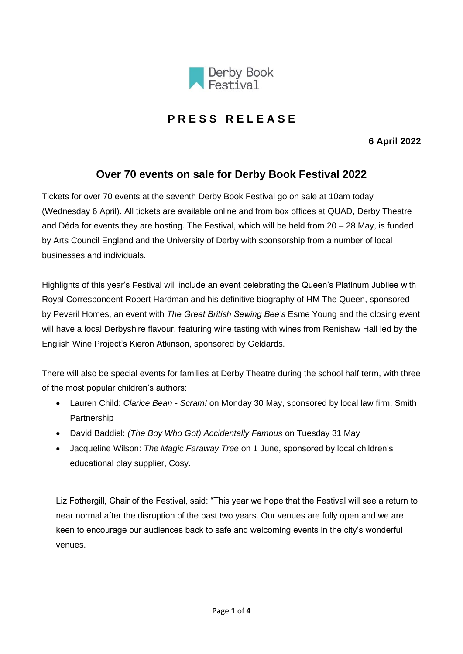

# **P R E S S R E L E A S E**

**6 April 2022**

## **Over 70 events on sale for Derby Book Festival 2022**

Tickets for over 70 events at the seventh Derby Book Festival go on sale at 10am today (Wednesday 6 April). All tickets are available online and from box offices at QUAD, Derby Theatre and Déda for events they are hosting. The Festival, which will be held from 20 – 28 May, is funded by Arts Council England and the University of Derby with sponsorship from a number of local businesses and individuals.

Highlights of this year's Festival will include an event celebrating the Queen's Platinum Jubilee with Royal Correspondent Robert Hardman and his definitive biography of HM The Queen, sponsored by Peveril Homes, an event with *The Great British Sewing Bee's* Esme Young and the closing event will have a local Derbyshire flavour, featuring wine tasting with wines from Renishaw Hall led by the English Wine Project's Kieron Atkinson, sponsored by Geldards.

There will also be special events for families at Derby Theatre during the school half term, with three of the most popular children's authors:

- Lauren Child: *Clarice Bean - Scram!* on Monday 30 May, sponsored by local law firm, Smith Partnership
- David Baddiel: *(The Boy Who Got) Accidentally Famous* on Tuesday 31 May
- Jacqueline Wilson: *The Magic Faraway Tree* on 1 June, sponsored by local children's educational play supplier, Cosy.

Liz Fothergill, Chair of the Festival, said: "This year we hope that the Festival will see a return to near normal after the disruption of the past two years. Our venues are fully open and we are keen to encourage our audiences back to safe and welcoming events in the city's wonderful venues.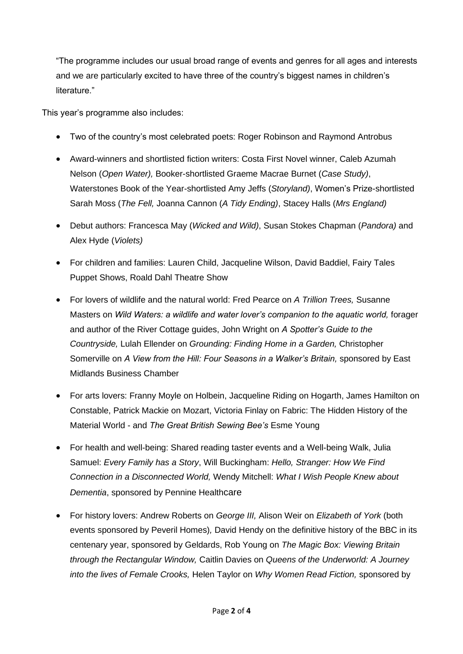"The programme includes our usual broad range of events and genres for all ages and interests and we are particularly excited to have three of the country's biggest names in children's literature."

This year's programme also includes:

- Two of the country's most celebrated poets: Roger Robinson and Raymond Antrobus
- Award-winners and shortlisted fiction writers: Costa First Novel winner, Caleb Azumah Nelson (*Open Water),* Booker-shortlisted Graeme Macrae Burnet (*Case Study)*, Waterstones Book of the Year-shortlisted Amy Jeffs (*Storyland)*, Women's Prize-shortlisted Sarah Moss (*The Fell,* Joanna Cannon (*A Tidy Ending)*, Stacey Halls (*Mrs England)*
- Debut authors: Francesca May (*Wicked and Wild)*, Susan Stokes Chapman (*Pandora)* and Alex Hyde (*Violets)*
- For children and families: Lauren Child, Jacqueline Wilson, David Baddiel, Fairy Tales Puppet Shows, Roald Dahl Theatre Show
- For lovers of wildlife and the natural world: Fred Pearce on *A Trillion Trees,* Susanne Masters on *Wild Waters: a wildlife and water lover's companion to the aquatic world, forager* and author of the River Cottage guides, John Wright on *A Spotter's Guide to the Countryside,* Lulah Ellender on *Grounding: Finding Home in a Garden,* Christopher Somerville on A View from the Hill: Four Seasons in a Walker's Britain, sponsored by East Midlands Business Chamber
- For arts lovers: Franny Moyle on Holbein, Jacqueline Riding on Hogarth, James Hamilton on Constable, Patrick Mackie on Mozart, Victoria Finlay on Fabric: The Hidden History of the Material World - and *The Great British Sewing Bee's* Esme Young
- For health and well-being: Shared reading taster events and a Well-being Walk, Julia Samuel: *Every Family has a Story*, Will Buckingham: *Hello, Stranger: How We Find Connection in a Disconnected World,* Wendy Mitchell: *What I Wish People Knew about Dementia*, sponsored by Pennine Healthcare
- For history lovers: Andrew Roberts on *George III,* Alison Weir on *Elizabeth of York* (both events sponsored by Peveril Homes)*,* David Hendy on the definitive history of the BBC in its centenary year, sponsored by Geldards, Rob Young on *The Magic Box: Viewing Britain through the Rectangular Window,* Caitlin Davies on *Queens of the Underworld: A Journey into the lives of Female Crooks,* Helen Taylor on *Why Women Read Fiction,* sponsored by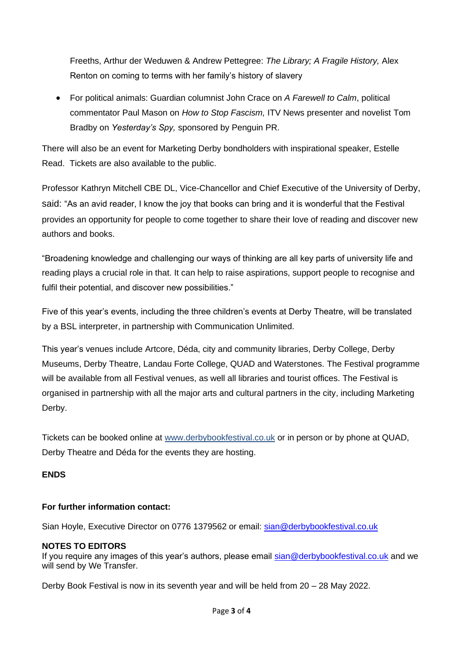Freeths, Arthur der Weduwen & Andrew Pettegree: *The Library; A Fragile History,* Alex Renton on coming to terms with her family's history of slavery

• For political animals: Guardian columnist John Crace on *A Farewell to Calm*, political commentator Paul Mason on *How to Stop Fascism,* ITV News presenter and novelist Tom Bradby on *Yesterday's Spy,* sponsored by Penguin PR.

There will also be an event for Marketing Derby bondholders with inspirational speaker, Estelle Read. Tickets are also available to the public.

Professor Kathryn Mitchell CBE DL, Vice-Chancellor and Chief Executive of the University of Derby, said: "As an avid reader, I know the joy that books can bring and it is wonderful that the Festival provides an opportunity for people to come together to share their love of reading and discover new authors and books.

"Broadening knowledge and challenging our ways of thinking are all key parts of university life and reading plays a crucial role in that. It can help to raise aspirations, support people to recognise and fulfil their potential, and discover new possibilities."

Five of this year's events, including the three children's events at Derby Theatre, will be translated by a BSL interpreter, in partnership with Communication Unlimited.

This year's venues include Artcore, Déda, city and community libraries, Derby College, Derby Museums, Derby Theatre, Landau Forte College, QUAD and Waterstones. The Festival programme will be available from all Festival venues, as well all libraries and tourist offices. The Festival is organised in partnership with all the major arts and cultural partners in the city, including Marketing Derby.

Tickets can be booked online at [www.derbybookfestival.co.uk](http://www.derbybookfestival.co.uk/) or in person or by phone at QUAD, Derby Theatre and Déda for the events they are hosting.

### **ENDS**

### **For further information contact:**

Sian Hoyle, Executive Director on 0776 1379562 or email: [sian@derbybookfestival.co.uk](mailto:sian@derbybookfestival.co.uk)

### **NOTES TO EDITORS**

If you require any images of this year's authors, please email [sian@derbybookfestival.co.uk](mailto:sian@derbybookfestival.co.uk) and we will send by We Transfer.

Derby Book Festival is now in its seventh year and will be held from 20 – 28 May 2022.